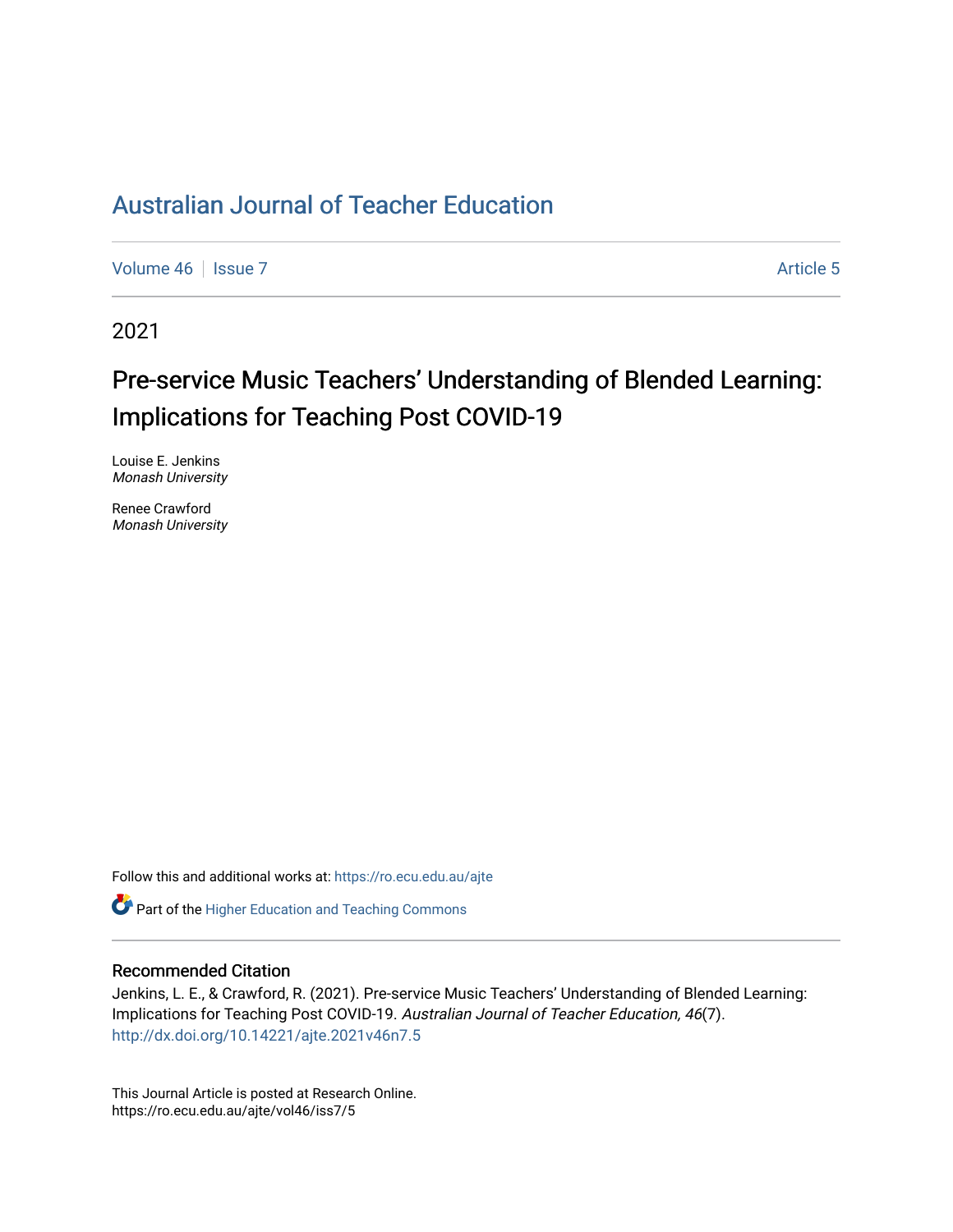## [Australian Journal of Teacher Education](https://ro.ecu.edu.au/ajte)

[Volume 46](https://ro.ecu.edu.au/ajte/vol46) | [Issue 7](https://ro.ecu.edu.au/ajte/vol46/iss7) Article 5

2021

# Pre-service Music Teachers' Understanding of Blended Learning: Implications for Teaching Post COVID-19

Louise E. Jenkins Monash University

Renee Crawford Monash University

Follow this and additional works at: [https://ro.ecu.edu.au/ajte](https://ro.ecu.edu.au/ajte?utm_source=ro.ecu.edu.au%2Fajte%2Fvol46%2Fiss7%2F5&utm_medium=PDF&utm_campaign=PDFCoverPages) 

**C** Part of the [Higher Education and Teaching Commons](http://network.bepress.com/hgg/discipline/806?utm_source=ro.ecu.edu.au%2Fajte%2Fvol46%2Fiss7%2F5&utm_medium=PDF&utm_campaign=PDFCoverPages)

#### Recommended Citation

Jenkins, L. E., & Crawford, R. (2021). Pre-service Music Teachers' Understanding of Blended Learning: Implications for Teaching Post COVID-19. Australian Journal of Teacher Education, 46(7). <http://dx.doi.org/10.14221/ajte.2021v46n7.5>

This Journal Article is posted at Research Online. https://ro.ecu.edu.au/ajte/vol46/iss7/5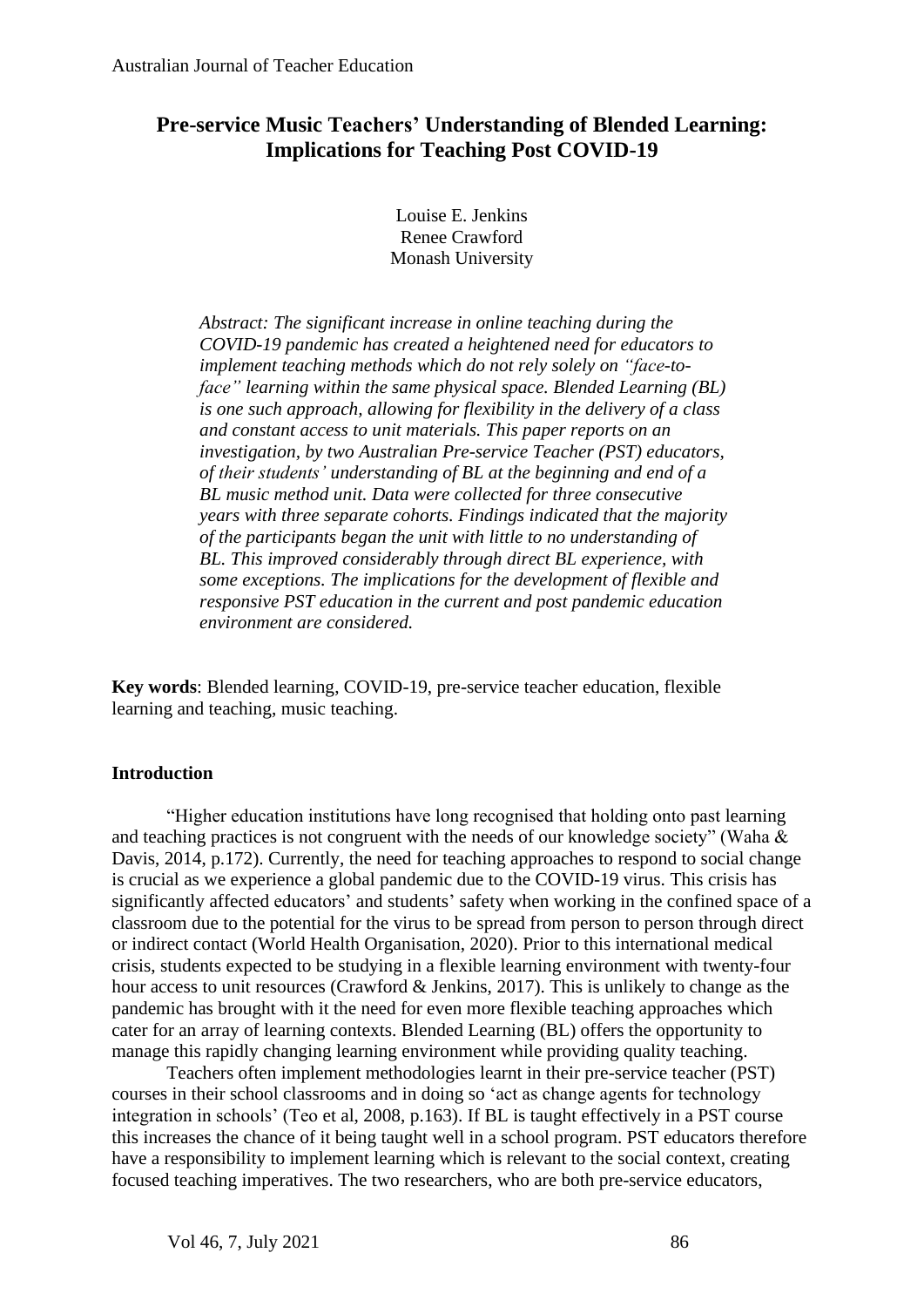## **Pre-service Music Teachers' Understanding of Blended Learning: Implications for Teaching Post COVID-19**

Louise E. Jenkins Renee Crawford Monash University

*Abstract: The significant increase in online teaching during the COVID-19 pandemic has created a heightened need for educators to implement teaching methods which do not rely solely on "face-toface" learning within the same physical space. Blended Learning (BL) is one such approach, allowing for flexibility in the delivery of a class and constant access to unit materials. This paper reports on an investigation, by two Australian Pre-service Teacher (PST) educators, of their students' understanding of BL at the beginning and end of a BL music method unit. Data were collected for three consecutive years with three separate cohorts. Findings indicated that the majority of the participants began the unit with little to no understanding of BL. This improved considerably through direct BL experience, with some exceptions. The implications for the development of flexible and responsive PST education in the current and post pandemic education environment are considered.* 

**Key words**: Blended learning, COVID-19, pre-service teacher education, flexible learning and teaching, music teaching.

## **Introduction**

"Higher education institutions have long recognised that holding onto past learning and teaching practices is not congruent with the needs of our knowledge society" (Waha & Davis, 2014, p.172). Currently, the need for teaching approaches to respond to social change is crucial as we experience a global pandemic due to the COVID-19 virus. This crisis has significantly affected educators' and students' safety when working in the confined space of a classroom due to the potential for the virus to be spread from person to person through direct or indirect contact (World Health Organisation, 2020). Prior to this international medical crisis, students expected to be studying in a flexible learning environment with twenty-four hour access to unit resources (Crawford & Jenkins, 2017). This is unlikely to change as the pandemic has brought with it the need for even more flexible teaching approaches which cater for an array of learning contexts. Blended Learning (BL) offers the opportunity to manage this rapidly changing learning environment while providing quality teaching.

Teachers often implement methodologies learnt in their pre-service teacher (PST) courses in their school classrooms and in doing so 'act as change agents for technology integration in schools' (Teo et al, 2008, p.163). If BL is taught effectively in a PST course this increases the chance of it being taught well in a school program. PST educators therefore have a responsibility to implement learning which is relevant to the social context, creating focused teaching imperatives. The two researchers, who are both pre-service educators,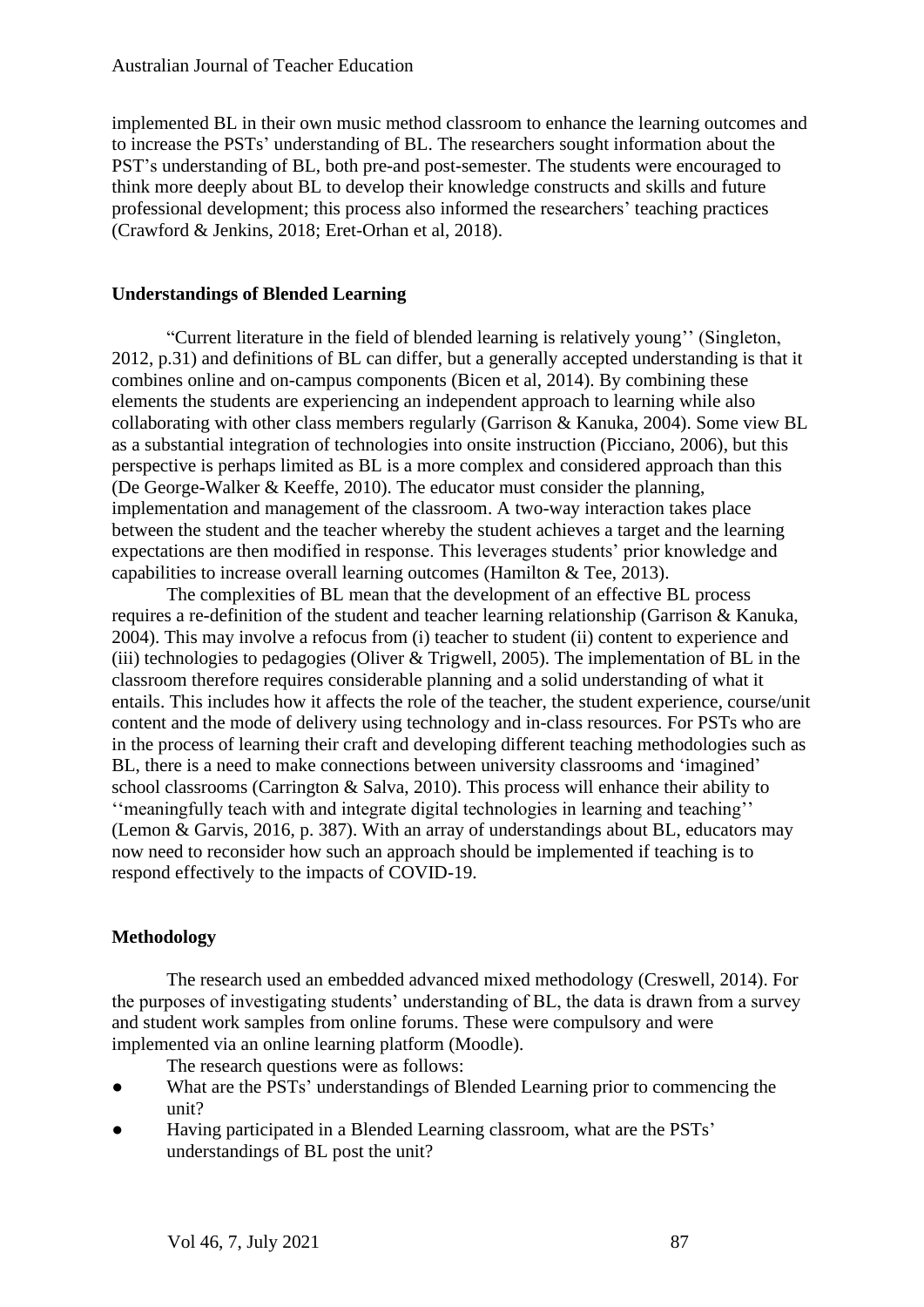implemented BL in their own music method classroom to enhance the learning outcomes and to increase the PSTs' understanding of BL. The researchers sought information about the PST's understanding of BL, both pre-and post-semester. The students were encouraged to think more deeply about BL to develop their knowledge constructs and skills and future professional development; this process also informed the researchers' teaching practices (Crawford & Jenkins, 2018; Eret-Orhan et al, 2018).

## **Understandings of Blended Learning**

"Current literature in the field of blended learning is relatively young'' (Singleton, 2012, p.31) and definitions of BL can differ, but a generally accepted understanding is that it combines online and on-campus components (Bicen et al, 2014). By combining these elements the students are experiencing an independent approach to learning while also collaborating with other class members regularly (Garrison & Kanuka, 2004). Some view BL as a substantial integration of technologies into onsite instruction (Picciano, 2006), but this perspective is perhaps limited as BL is a more complex and considered approach than this (De George-Walker & Keeffe, 2010). The educator must consider the planning, implementation and management of the classroom. A two-way interaction takes place between the student and the teacher whereby the student achieves a target and the learning expectations are then modified in response. This leverages students' prior knowledge and capabilities to increase overall learning outcomes (Hamilton & Tee, 2013).

The complexities of BL mean that the development of an effective BL process requires a re-definition of the student and teacher learning relationship (Garrison & Kanuka, 2004). This may involve a refocus from (i) teacher to student (ii) content to experience and (iii) technologies to pedagogies (Oliver & Trigwell, 2005). The implementation of BL in the classroom therefore requires considerable planning and a solid understanding of what it entails. This includes how it affects the role of the teacher, the student experience, course/unit content and the mode of delivery using technology and in-class resources. For PSTs who are in the process of learning their craft and developing different teaching methodologies such as BL, there is a need to make connections between university classrooms and 'imagined' school classrooms (Carrington & Salva, 2010). This process will enhance their ability to ''meaningfully teach with and integrate digital technologies in learning and teaching'' (Lemon & Garvis, 2016, p. 387). With an array of understandings about BL, educators may now need to reconsider how such an approach should be implemented if teaching is to respond effectively to the impacts of COVID-19.

## **Methodology**

The research used an embedded advanced mixed methodology (Creswell, 2014). For the purposes of investigating students' understanding of BL, the data is drawn from a survey and student work samples from online forums. These were compulsory and were implemented via an online learning platform (Moodle).

The research questions were as follows:

- What are the PSTs' understandings of Blended Learning prior to commencing the unit?
- Having participated in a Blended Learning classroom, what are the PSTs' understandings of BL post the unit?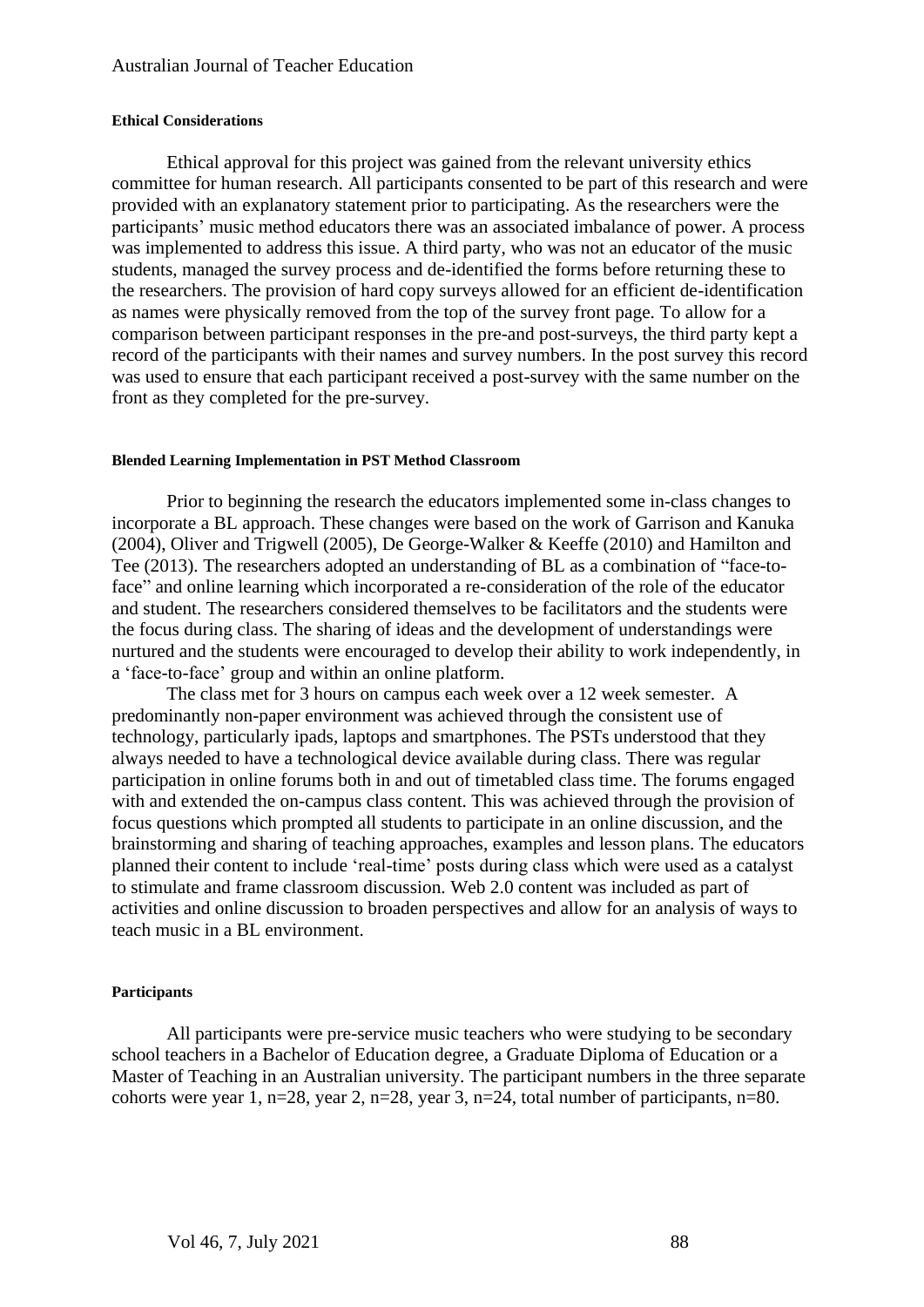#### **Ethical Considerations**

Ethical approval for this project was gained from the relevant university ethics committee for human research. All participants consented to be part of this research and were provided with an explanatory statement prior to participating. As the researchers were the participants' music method educators there was an associated imbalance of power. A process was implemented to address this issue. A third party, who was not an educator of the music students, managed the survey process and de-identified the forms before returning these to the researchers. The provision of hard copy surveys allowed for an efficient de-identification as names were physically removed from the top of the survey front page. To allow for a comparison between participant responses in the pre-and post-surveys, the third party kept a record of the participants with their names and survey numbers. In the post survey this record was used to ensure that each participant received a post-survey with the same number on the front as they completed for the pre-survey.

#### **Blended Learning Implementation in PST Method Classroom**

Prior to beginning the research the educators implemented some in-class changes to incorporate a BL approach. These changes were based on the work of Garrison and Kanuka (2004), Oliver and Trigwell (2005), De George-Walker & Keeffe (2010) and Hamilton and Tee (2013). The researchers adopted an understanding of BL as a combination of "face-toface" and online learning which incorporated a re-consideration of the role of the educator and student. The researchers considered themselves to be facilitators and the students were the focus during class. The sharing of ideas and the development of understandings were nurtured and the students were encouraged to develop their ability to work independently, in a 'face-to-face' group and within an online platform.

The class met for 3 hours on campus each week over a 12 week semester. A predominantly non-paper environment was achieved through the consistent use of technology, particularly ipads, laptops and smartphones. The PSTs understood that they always needed to have a technological device available during class. There was regular participation in online forums both in and out of timetabled class time. The forums engaged with and extended the on-campus class content. This was achieved through the provision of focus questions which prompted all students to participate in an online discussion, and the brainstorming and sharing of teaching approaches, examples and lesson plans. The educators planned their content to include 'real-time' posts during class which were used as a catalyst to stimulate and frame classroom discussion. Web 2.0 content was included as part of activities and online discussion to broaden perspectives and allow for an analysis of ways to teach music in a BL environment.

#### **Participants**

All participants were pre-service music teachers who were studying to be secondary school teachers in a Bachelor of Education degree, a Graduate Diploma of Education or a Master of Teaching in an Australian university. The participant numbers in the three separate cohorts were year 1, n=28, year 2, n=28, year 3, n=24, total number of participants, n=80.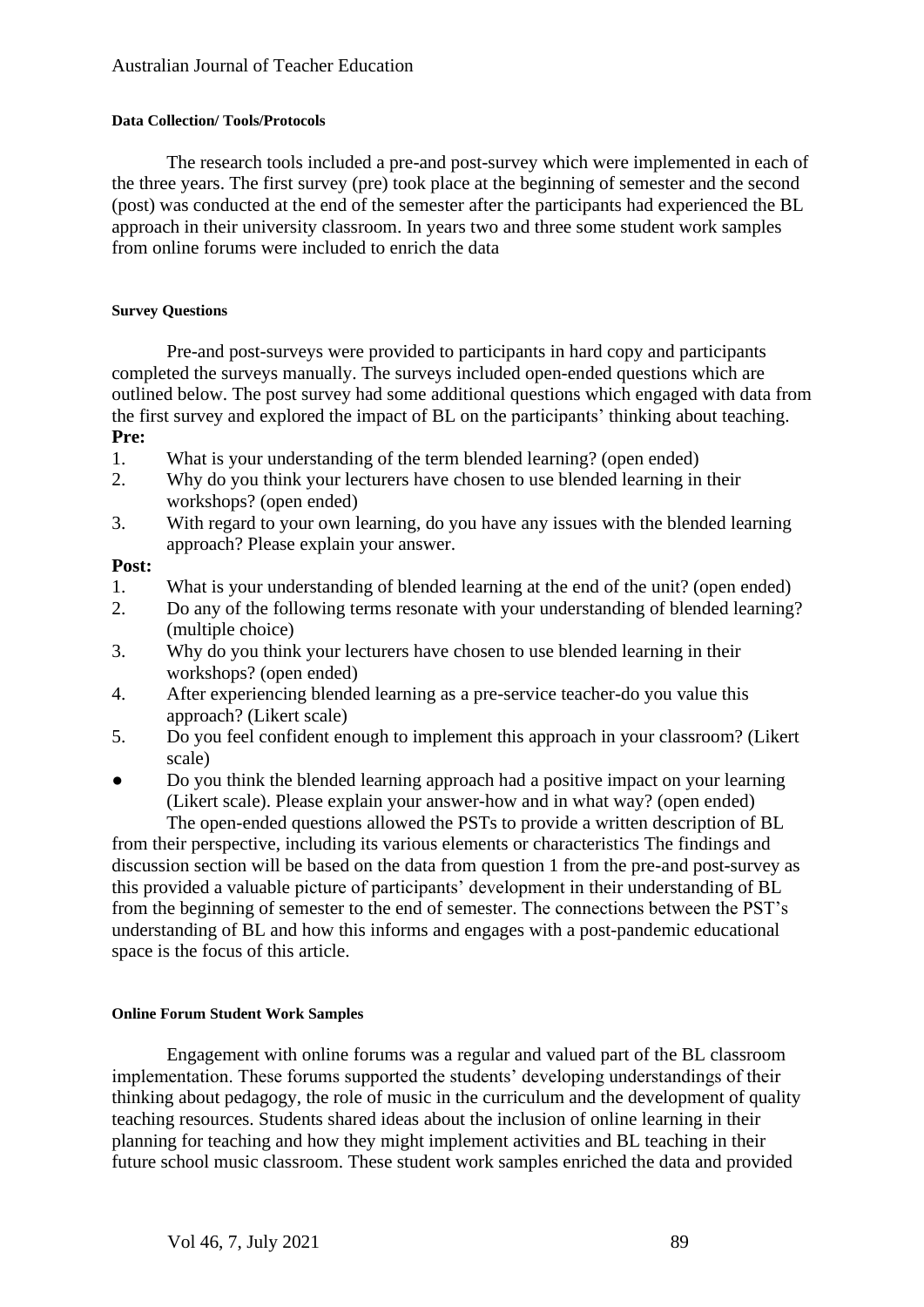## **Data Collection/ Tools/Protocols**

The research tools included a pre-and post-survey which were implemented in each of the three years. The first survey (pre) took place at the beginning of semester and the second (post) was conducted at the end of the semester after the participants had experienced the BL approach in their university classroom. In years two and three some student work samples from online forums were included to enrich the data

## **Survey Questions**

Pre-and post-surveys were provided to participants in hard copy and participants completed the surveys manually. The surveys included open-ended questions which are outlined below. The post survey had some additional questions which engaged with data from the first survey and explored the impact of BL on the participants' thinking about teaching. **Pre:**

- 1. What is your understanding of the term blended learning? (open ended)
- 2. Why do you think your lecturers have chosen to use blended learning in their workshops? (open ended)
- 3. With regard to your own learning, do you have any issues with the blended learning approach? Please explain your answer.

## **Post:**

- 1. What is your understanding of blended learning at the end of the unit? (open ended)
- 2. Do any of the following terms resonate with your understanding of blended learning? (multiple choice)
- 3. Why do you think your lecturers have chosen to use blended learning in their workshops? (open ended)
- 4. After experiencing blended learning as a pre-service teacher-do you value this approach? (Likert scale)
- 5. Do you feel confident enough to implement this approach in your classroom? (Likert scale)
- Do you think the blended learning approach had a positive impact on your learning (Likert scale). Please explain your answer-how and in what way? (open ended) The open-ended questions allowed the PSTs to provide a written description of BL

from their perspective, including its various elements or characteristics The findings and discussion section will be based on the data from question 1 from the pre-and post-survey as this provided a valuable picture of participants' development in their understanding of BL from the beginning of semester to the end of semester. The connections between the PST's understanding of BL and how this informs and engages with a post-pandemic educational space is the focus of this article.

#### **Online Forum Student Work Samples**

Engagement with online forums was a regular and valued part of the BL classroom implementation. These forums supported the students' developing understandings of their thinking about pedagogy, the role of music in the curriculum and the development of quality teaching resources. Students shared ideas about the inclusion of online learning in their planning for teaching and how they might implement activities and BL teaching in their future school music classroom. These student work samples enriched the data and provided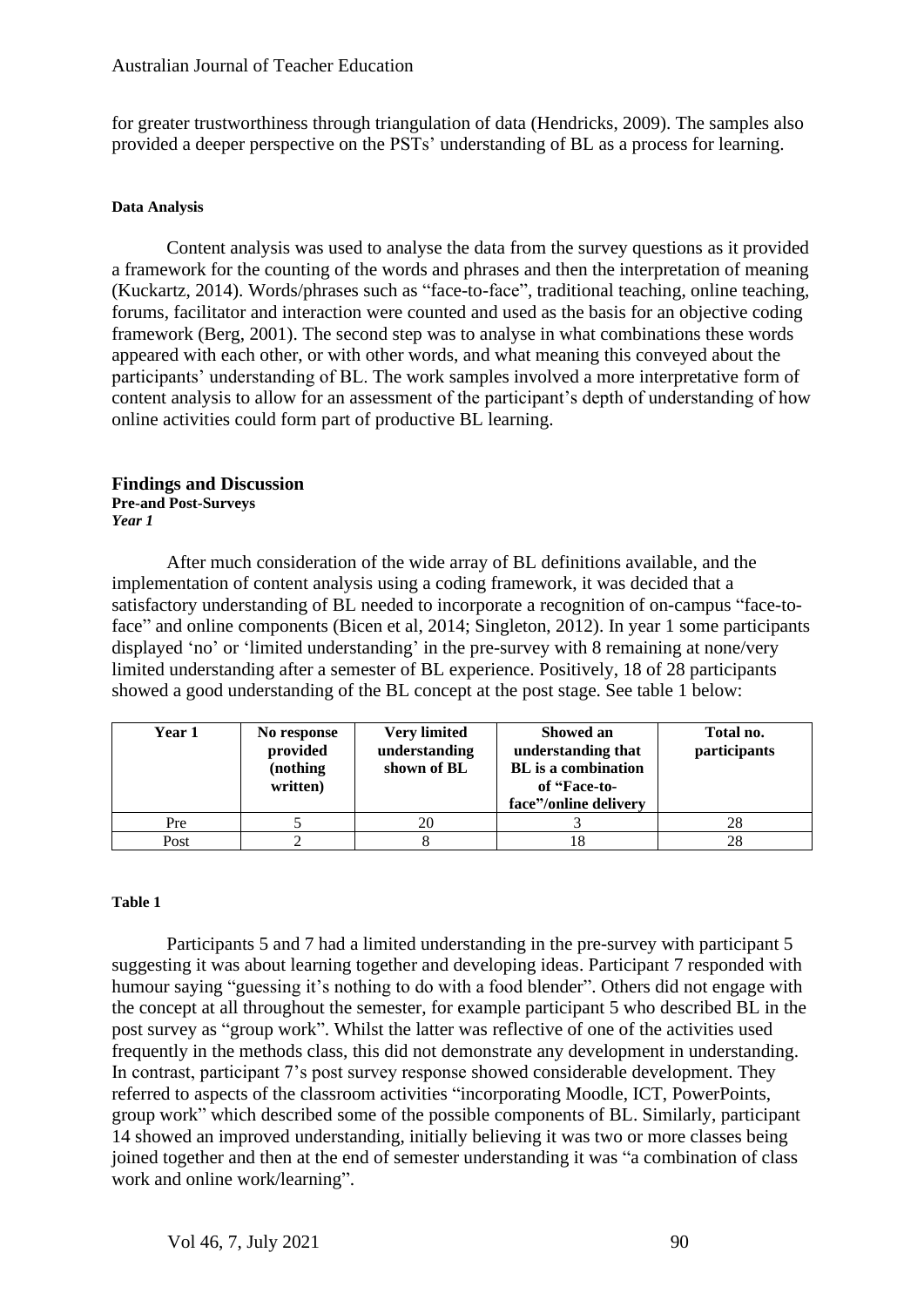for greater trustworthiness through triangulation of data (Hendricks, 2009). The samples also provided a deeper perspective on the PSTs' understanding of BL as a process for learning.

#### **Data Analysis**

Content analysis was used to analyse the data from the survey questions as it provided a framework for the counting of the words and phrases and then the interpretation of meaning (Kuckartz, 2014). Words/phrases such as "face-to-face", traditional teaching, online teaching, forums, facilitator and interaction were counted and used as the basis for an objective coding framework (Berg, 2001). The second step was to analyse in what combinations these words appeared with each other, or with other words, and what meaning this conveyed about the participants' understanding of BL. The work samples involved a more interpretative form of content analysis to allow for an assessment of the participant's depth of understanding of how online activities could form part of productive BL learning.

#### **Findings and Discussion Pre-and Post-Surveys**

*Year 1*

After much consideration of the wide array of BL definitions available, and the implementation of content analysis using a coding framework, it was decided that a satisfactory understanding of BL needed to incorporate a recognition of on-campus "face-toface" and online components (Bicen et al, 2014; Singleton, 2012). In year 1 some participants displayed 'no' or 'limited understanding' in the pre-survey with 8 remaining at none/very limited understanding after a semester of BL experience. Positively, 18 of 28 participants showed a good understanding of the BL concept at the post stage. See table 1 below:

| Year 1 | No response<br>provided<br>(nothing)<br>written) | <b>Very limited</b><br>understanding<br>shown of BL | Showed an<br>understanding that<br><b>BL</b> is a combination<br>of "Face-to-<br>face"/online delivery | Total no.<br>participants |
|--------|--------------------------------------------------|-----------------------------------------------------|--------------------------------------------------------------------------------------------------------|---------------------------|
| Pre    |                                                  | 20                                                  |                                                                                                        | 28                        |
| Post   |                                                  |                                                     | 18                                                                                                     | 28                        |

#### **Table 1**

Participants 5 and 7 had a limited understanding in the pre-survey with participant 5 suggesting it was about learning together and developing ideas. Participant 7 responded with humour saying "guessing it's nothing to do with a food blender". Others did not engage with the concept at all throughout the semester, for example participant 5 who described BL in the post survey as "group work". Whilst the latter was reflective of one of the activities used frequently in the methods class, this did not demonstrate any development in understanding. In contrast, participant 7's post survey response showed considerable development. They referred to aspects of the classroom activities "incorporating Moodle, ICT, PowerPoints, group work" which described some of the possible components of BL. Similarly, participant 14 showed an improved understanding, initially believing it was two or more classes being joined together and then at the end of semester understanding it was "a combination of class work and online work/learning".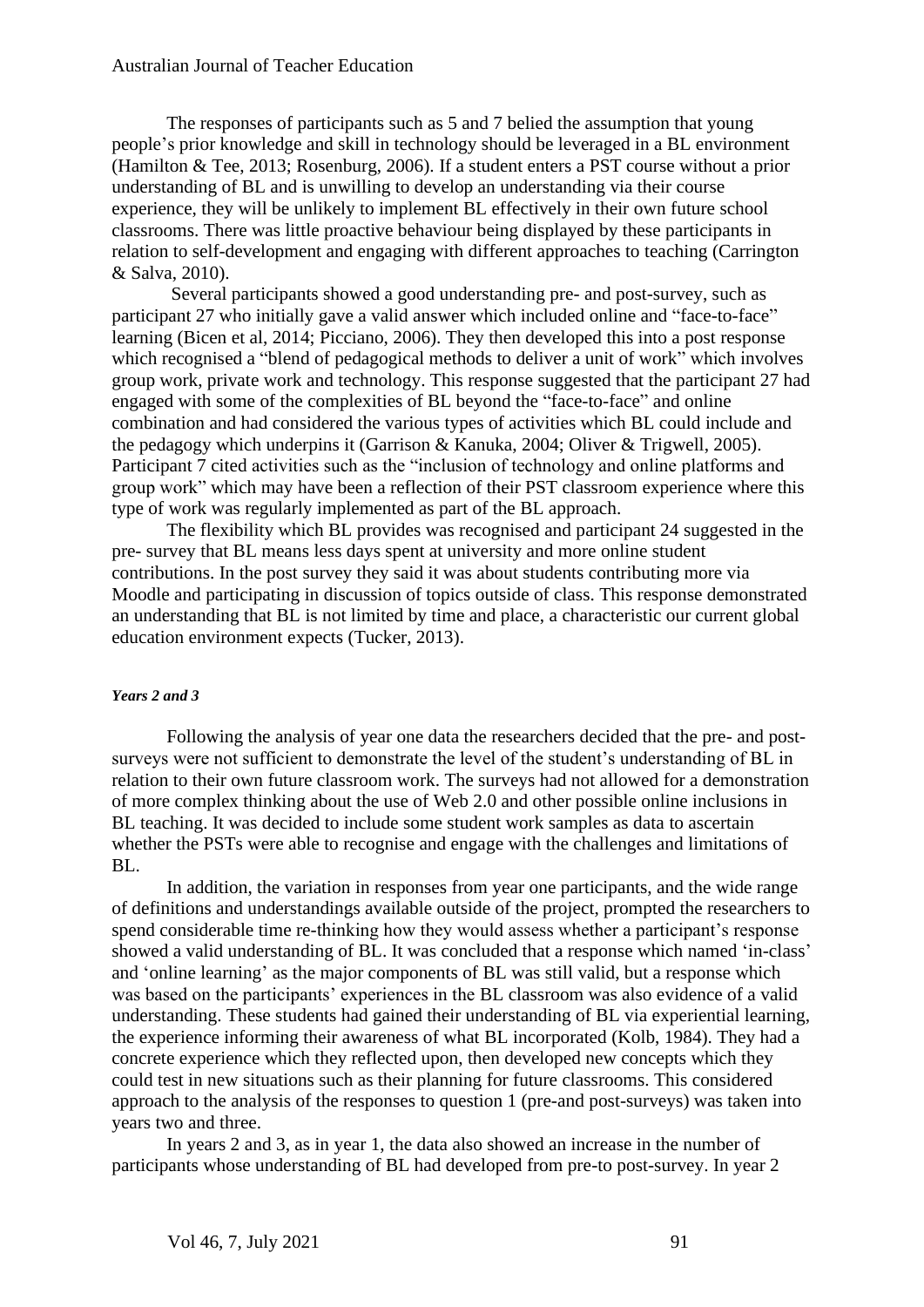#### Australian Journal of Teacher Education

The responses of participants such as 5 and 7 belied the assumption that young people's prior knowledge and skill in technology should be leveraged in a BL environment (Hamilton & Tee, 2013; Rosenburg, 2006). If a student enters a PST course without a prior understanding of BL and is unwilling to develop an understanding via their course experience, they will be unlikely to implement BL effectively in their own future school classrooms. There was little proactive behaviour being displayed by these participants in relation to self-development and engaging with different approaches to teaching (Carrington & Salva, 2010).

Several participants showed a good understanding pre- and post-survey, such as participant 27 who initially gave a valid answer which included online and "face-to-face" learning (Bicen et al, 2014; Picciano, 2006). They then developed this into a post response which recognised a "blend of pedagogical methods to deliver a unit of work" which involves group work, private work and technology. This response suggested that the participant 27 had engaged with some of the complexities of BL beyond the "face-to-face" and online combination and had considered the various types of activities which BL could include and the pedagogy which underpins it (Garrison & Kanuka, 2004; Oliver & Trigwell, 2005). Participant 7 cited activities such as the "inclusion of technology and online platforms and group work" which may have been a reflection of their PST classroom experience where this type of work was regularly implemented as part of the BL approach.

The flexibility which BL provides was recognised and participant 24 suggested in the pre- survey that BL means less days spent at university and more online student contributions. In the post survey they said it was about students contributing more via Moodle and participating in discussion of topics outside of class. This response demonstrated an understanding that BL is not limited by time and place, a characteristic our current global education environment expects (Tucker, 2013).

#### *Years 2 and 3*

Following the analysis of year one data the researchers decided that the pre- and postsurveys were not sufficient to demonstrate the level of the student's understanding of BL in relation to their own future classroom work. The surveys had not allowed for a demonstration of more complex thinking about the use of Web 2.0 and other possible online inclusions in BL teaching. It was decided to include some student work samples as data to ascertain whether the PSTs were able to recognise and engage with the challenges and limitations of BL.

In addition, the variation in responses from year one participants, and the wide range of definitions and understandings available outside of the project, prompted the researchers to spend considerable time re-thinking how they would assess whether a participant's response showed a valid understanding of BL. It was concluded that a response which named 'in-class' and 'online learning' as the major components of BL was still valid, but a response which was based on the participants' experiences in the BL classroom was also evidence of a valid understanding. These students had gained their understanding of BL via experiential learning, the experience informing their awareness of what BL incorporated (Kolb, 1984). They had a concrete experience which they reflected upon, then developed new concepts which they could test in new situations such as their planning for future classrooms. This considered approach to the analysis of the responses to question 1 (pre-and post-surveys) was taken into years two and three.

In years 2 and 3, as in year 1, the data also showed an increase in the number of participants whose understanding of BL had developed from pre-to post-survey. In year 2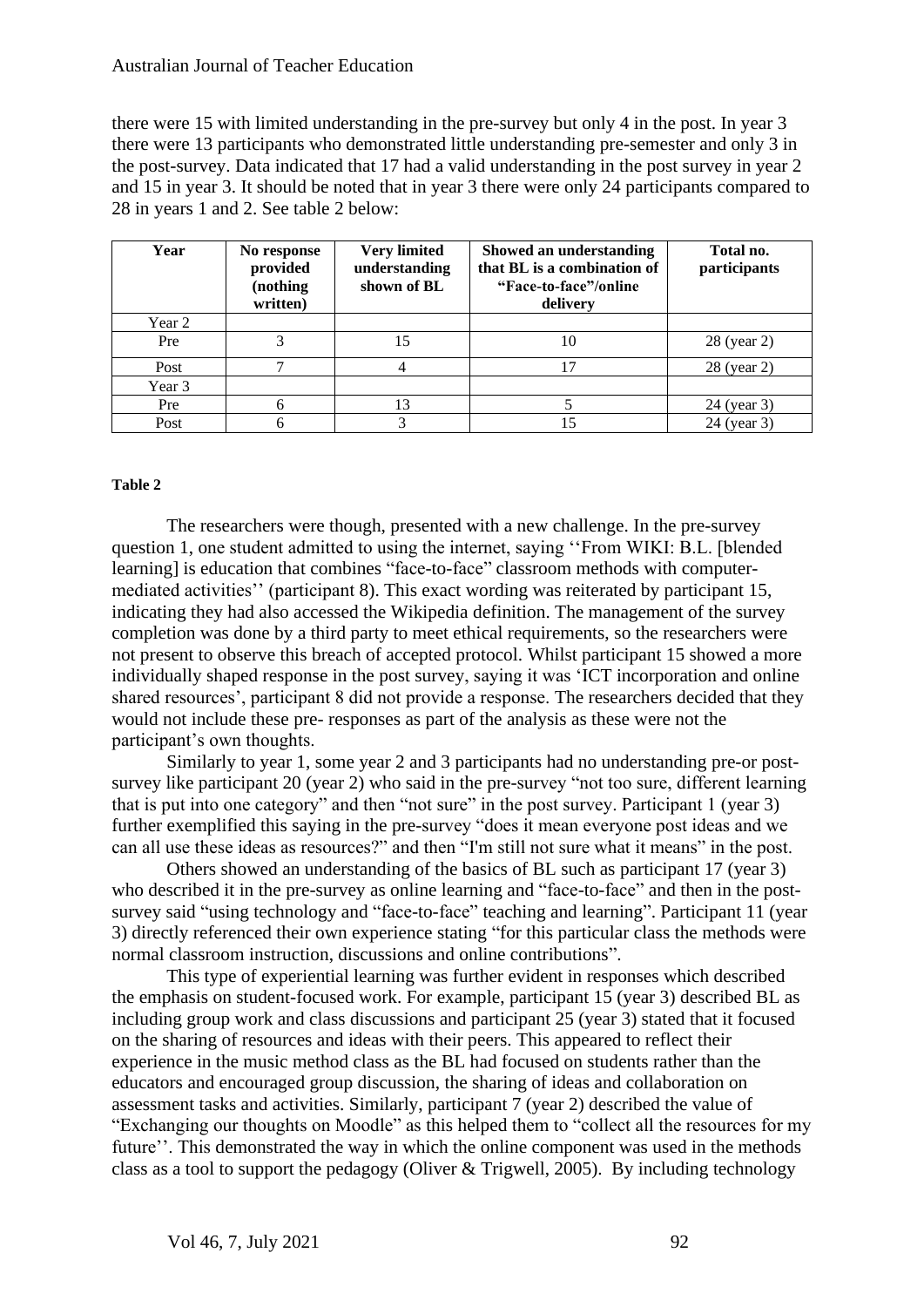#### Australian Journal of Teacher Education

there were 15 with limited understanding in the pre-survey but only 4 in the post. In year 3 there were 13 participants who demonstrated little understanding pre-semester and only 3 in the post-survey. Data indicated that 17 had a valid understanding in the post survey in year 2 and 15 in year 3. It should be noted that in year 3 there were only 24 participants compared to 28 in years 1 and 2. See table 2 below:

| Year   | No response<br>provided<br>(nothing)<br>written) | <b>Very limited</b><br>understanding<br>shown of BL | Showed an understanding<br>that BL is a combination of<br>"Face-to-face"/online<br>delivery | Total no.<br>participants |
|--------|--------------------------------------------------|-----------------------------------------------------|---------------------------------------------------------------------------------------------|---------------------------|
| Year 2 |                                                  |                                                     |                                                                                             |                           |
| Pre    |                                                  |                                                     | 10                                                                                          | 28 (year 2)               |
| Post   | ⇁                                                |                                                     | 17                                                                                          | 28 (year 2)               |
| Year 3 |                                                  |                                                     |                                                                                             |                           |
| Pre    |                                                  |                                                     |                                                                                             | 24 (year 3)               |
| Post   |                                                  |                                                     | 15                                                                                          | 24 (year 3)               |

#### **Table 2**

The researchers were though, presented with a new challenge. In the pre-survey question 1, one student admitted to using the internet, saying ''From WIKI: B.L. [blended learning] is education that combines "face-to-face" classroom methods with computermediated activities'' (participant 8). This exact wording was reiterated by participant 15, indicating they had also accessed the Wikipedia definition. The management of the survey completion was done by a third party to meet ethical requirements, so the researchers were not present to observe this breach of accepted protocol. Whilst participant 15 showed a more individually shaped response in the post survey, saying it was 'ICT incorporation and online shared resources', participant 8 did not provide a response. The researchers decided that they would not include these pre- responses as part of the analysis as these were not the participant's own thoughts.

Similarly to year 1, some year 2 and 3 participants had no understanding pre-or postsurvey like participant 20 (year 2) who said in the pre-survey "not too sure, different learning that is put into one category" and then "not sure" in the post survey. Participant 1 (year 3) further exemplified this saying in the pre-survey "does it mean everyone post ideas and we can all use these ideas as resources?" and then "I'm still not sure what it means" in the post.

Others showed an understanding of the basics of BL such as participant 17 (year 3) who described it in the pre-survey as online learning and "face-to-face" and then in the postsurvey said "using technology and "face-to-face" teaching and learning". Participant 11 (year 3) directly referenced their own experience stating "for this particular class the methods were normal classroom instruction, discussions and online contributions".

This type of experiential learning was further evident in responses which described the emphasis on student-focused work. For example, participant 15 (year 3) described BL as including group work and class discussions and participant 25 (year 3) stated that it focused on the sharing of resources and ideas with their peers. This appeared to reflect their experience in the music method class as the BL had focused on students rather than the educators and encouraged group discussion, the sharing of ideas and collaboration on assessment tasks and activities. Similarly, participant 7 (year 2) described the value of "Exchanging our thoughts on Moodle" as this helped them to "collect all the resources for my future''. This demonstrated the way in which the online component was used in the methods class as a tool to support the pedagogy (Oliver & Trigwell, 2005). By including technology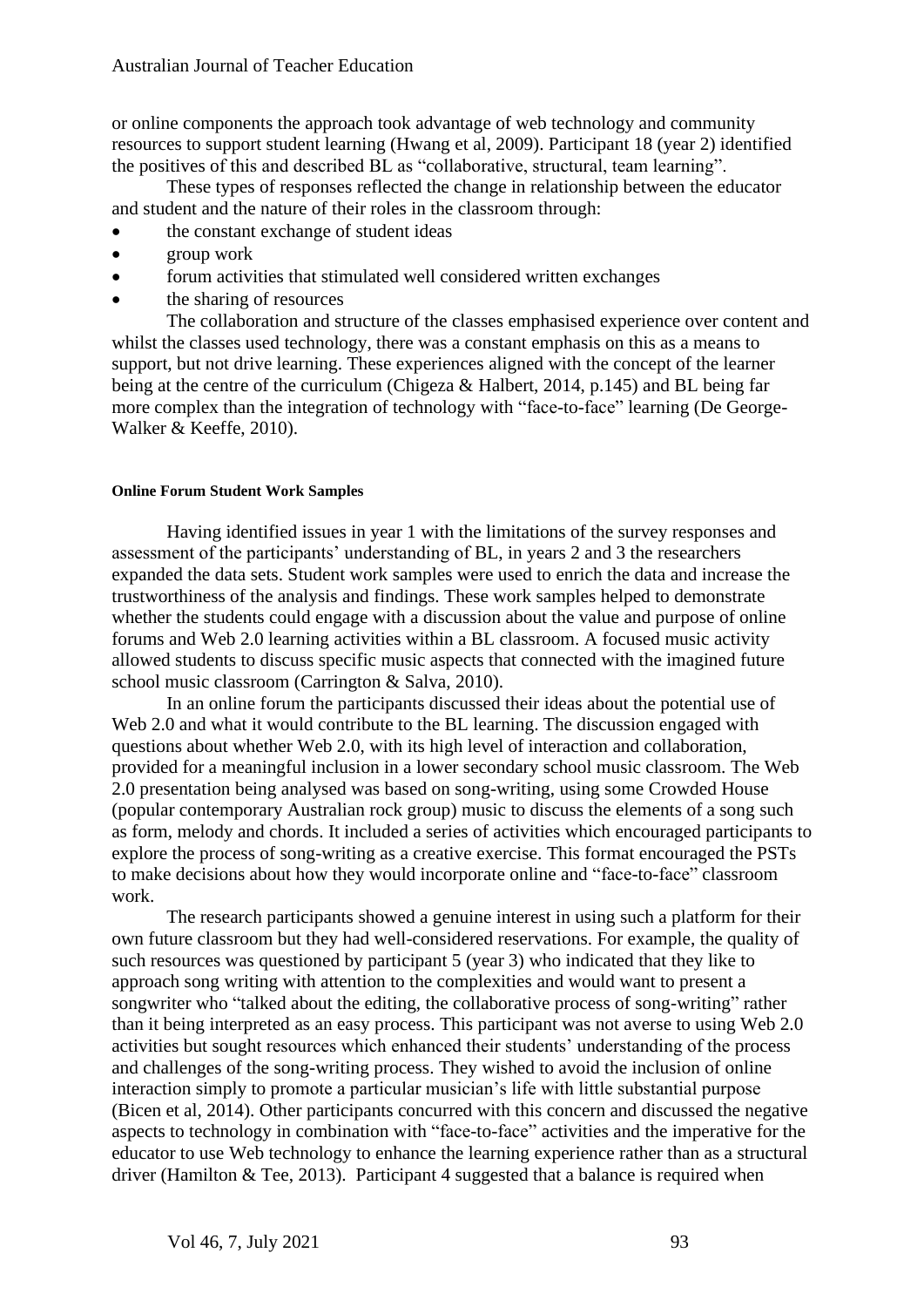or online components the approach took advantage of web technology and community resources to support student learning (Hwang et al, 2009). Participant 18 (year 2) identified the positives of this and described BL as "collaborative, structural, team learning".

These types of responses reflected the change in relationship between the educator and student and the nature of their roles in the classroom through:

- the constant exchange of student ideas
- group work
- forum activities that stimulated well considered written exchanges
- the sharing of resources

The collaboration and structure of the classes emphasised experience over content and whilst the classes used technology, there was a constant emphasis on this as a means to support, but not drive learning. These experiences aligned with the concept of the learner being at the centre of the curriculum (Chigeza & Halbert, 2014, p.145) and BL being far more complex than the integration of technology with "face-to-face" learning (De George-Walker & Keeffe, 2010).

#### **Online Forum Student Work Samples**

Having identified issues in year 1 with the limitations of the survey responses and assessment of the participants' understanding of BL, in years 2 and 3 the researchers expanded the data sets. Student work samples were used to enrich the data and increase the trustworthiness of the analysis and findings. These work samples helped to demonstrate whether the students could engage with a discussion about the value and purpose of online forums and Web 2.0 learning activities within a BL classroom. A focused music activity allowed students to discuss specific music aspects that connected with the imagined future school music classroom (Carrington & Salva, 2010).

In an online forum the participants discussed their ideas about the potential use of Web 2.0 and what it would contribute to the BL learning. The discussion engaged with questions about whether Web 2.0, with its high level of interaction and collaboration, provided for a meaningful inclusion in a lower secondary school music classroom. The Web 2.0 presentation being analysed was based on song-writing, using some Crowded House (popular contemporary Australian rock group) music to discuss the elements of a song such as form, melody and chords. It included a series of activities which encouraged participants to explore the process of song-writing as a creative exercise. This format encouraged the PSTs to make decisions about how they would incorporate online and "face-to-face" classroom work.

The research participants showed a genuine interest in using such a platform for their own future classroom but they had well-considered reservations. For example, the quality of such resources was questioned by participant 5 (year 3) who indicated that they like to approach song writing with attention to the complexities and would want to present a songwriter who "talked about the editing, the collaborative process of song-writing" rather than it being interpreted as an easy process. This participant was not averse to using Web 2.0 activities but sought resources which enhanced their students' understanding of the process and challenges of the song-writing process. They wished to avoid the inclusion of online interaction simply to promote a particular musician's life with little substantial purpose (Bicen et al, 2014). Other participants concurred with this concern and discussed the negative aspects to technology in combination with "face-to-face" activities and the imperative for the educator to use Web technology to enhance the learning experience rather than as a structural driver (Hamilton & Tee, 2013). Participant 4 suggested that a balance is required when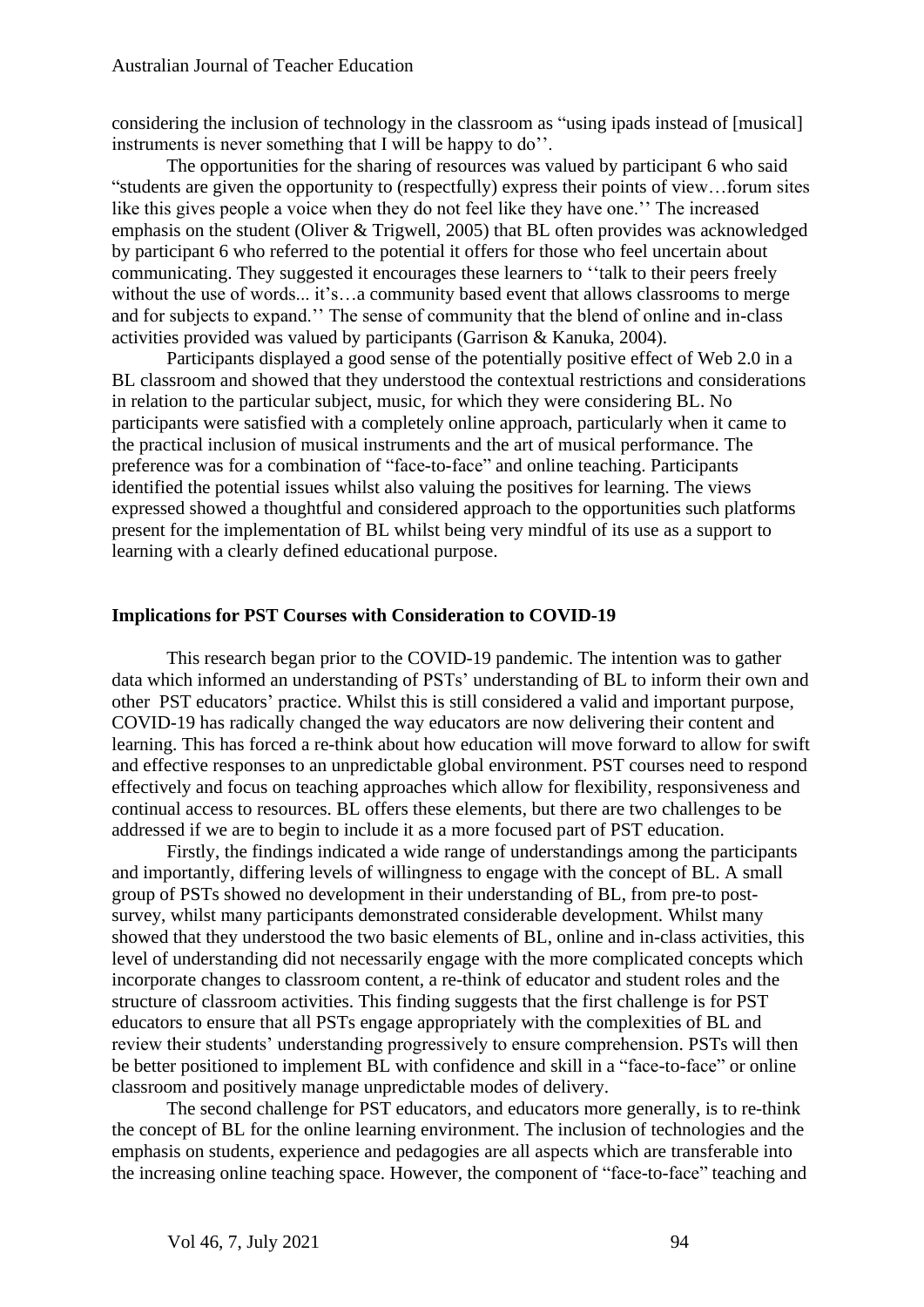considering the inclusion of technology in the classroom as "using ipads instead of [musical] instruments is never something that I will be happy to do''.

The opportunities for the sharing of resources was valued by participant 6 who said "students are given the opportunity to (respectfully) express their points of view…forum sites like this gives people a voice when they do not feel like they have one.'' The increased emphasis on the student (Oliver & Trigwell, 2005) that BL often provides was acknowledged by participant 6 who referred to the potential it offers for those who feel uncertain about communicating. They suggested it encourages these learners to ''talk to their peers freely without the use of words... it's…a community based event that allows classrooms to merge and for subjects to expand.'' The sense of community that the blend of online and in-class activities provided was valued by participants (Garrison & Kanuka, 2004).

Participants displayed a good sense of the potentially positive effect of Web 2.0 in a BL classroom and showed that they understood the contextual restrictions and considerations in relation to the particular subject, music, for which they were considering BL. No participants were satisfied with a completely online approach, particularly when it came to the practical inclusion of musical instruments and the art of musical performance. The preference was for a combination of "face-to-face" and online teaching. Participants identified the potential issues whilst also valuing the positives for learning. The views expressed showed a thoughtful and considered approach to the opportunities such platforms present for the implementation of BL whilst being very mindful of its use as a support to learning with a clearly defined educational purpose.

#### **Implications for PST Courses with Consideration to COVID-19**

This research began prior to the COVID-19 pandemic. The intention was to gather data which informed an understanding of PSTs' understanding of BL to inform their own and other PST educators' practice. Whilst this is still considered a valid and important purpose, COVID-19 has radically changed the way educators are now delivering their content and learning. This has forced a re-think about how education will move forward to allow for swift and effective responses to an unpredictable global environment. PST courses need to respond effectively and focus on teaching approaches which allow for flexibility, responsiveness and continual access to resources. BL offers these elements, but there are two challenges to be addressed if we are to begin to include it as a more focused part of PST education.

Firstly, the findings indicated a wide range of understandings among the participants and importantly, differing levels of willingness to engage with the concept of BL. A small group of PSTs showed no development in their understanding of BL, from pre-to postsurvey, whilst many participants demonstrated considerable development. Whilst many showed that they understood the two basic elements of BL, online and in-class activities, this level of understanding did not necessarily engage with the more complicated concepts which incorporate changes to classroom content, a re-think of educator and student roles and the structure of classroom activities. This finding suggests that the first challenge is for PST educators to ensure that all PSTs engage appropriately with the complexities of BL and review their students' understanding progressively to ensure comprehension. PSTs will then be better positioned to implement BL with confidence and skill in a "face-to-face" or online classroom and positively manage unpredictable modes of delivery.

The second challenge for PST educators, and educators more generally, is to re-think the concept of BL for the online learning environment. The inclusion of technologies and the emphasis on students, experience and pedagogies are all aspects which are transferable into the increasing online teaching space. However, the component of "face-to-face" teaching and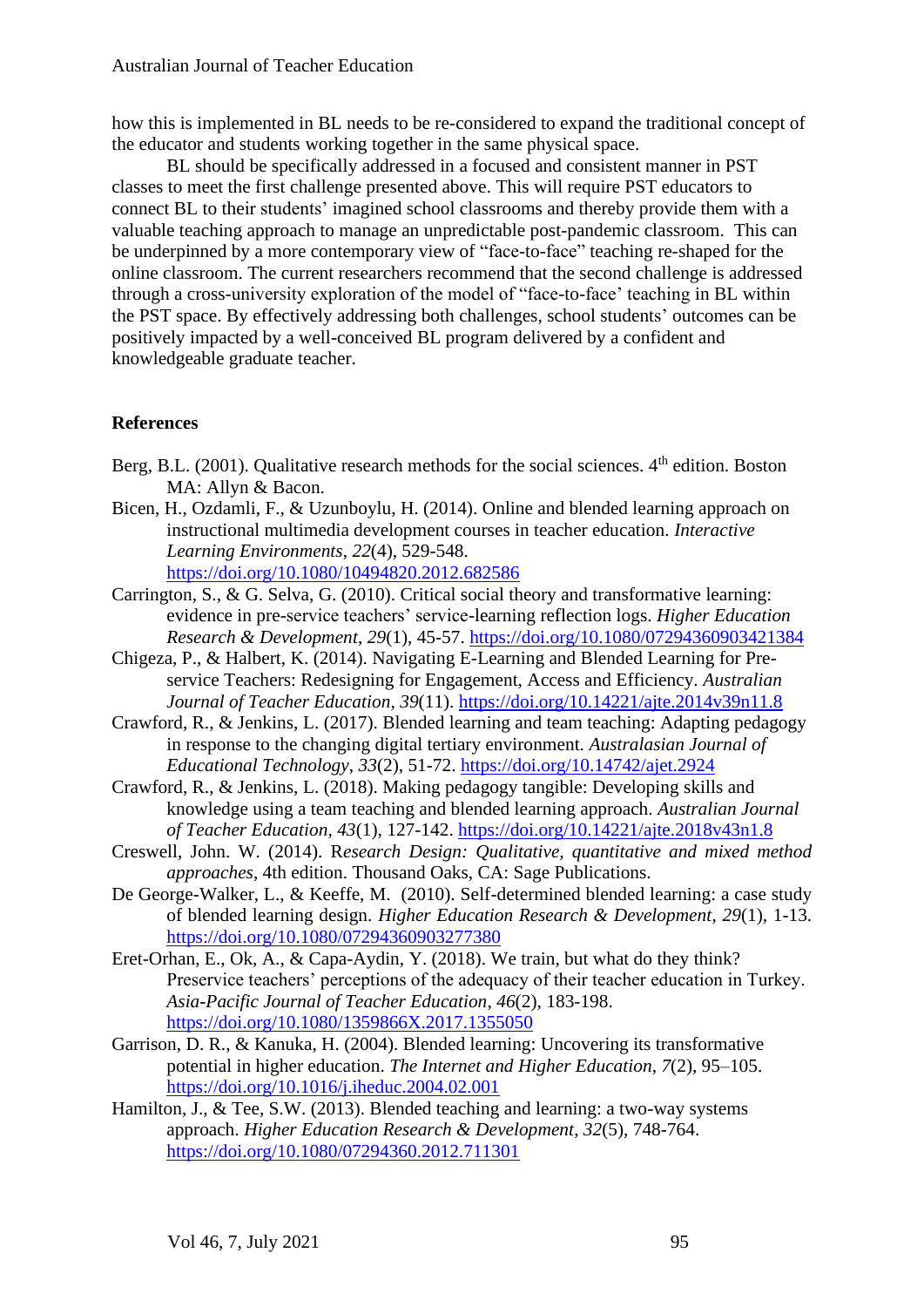how this is implemented in BL needs to be re-considered to expand the traditional concept of the educator and students working together in the same physical space.

BL should be specifically addressed in a focused and consistent manner in PST classes to meet the first challenge presented above. This will require PST educators to connect BL to their students' imagined school classrooms and thereby provide them with a valuable teaching approach to manage an unpredictable post-pandemic classroom. This can be underpinned by a more contemporary view of "face-to-face" teaching re-shaped for the online classroom. The current researchers recommend that the second challenge is addressed through a cross-university exploration of the model of "face-to-face' teaching in BL within the PST space. By effectively addressing both challenges, school students' outcomes can be positively impacted by a well-conceived BL program delivered by a confident and knowledgeable graduate teacher.

## **References**

- Berg, B.L. (2001). Qualitative research methods for the social sciences.  $4<sup>th</sup>$  edition. Boston MA: Allyn & Bacon.
- Bicen, H., Ozdamli, F., & Uzunboylu, H. (2014). Online and blended learning approach on instructional multimedia development courses in teacher education. *Interactive Learning Environments*, *22*(4), 529-548. <https://doi.org/10.1080/10494820.2012.682586>
- Carrington, S., & G. Selva, G. (2010). Critical social theory and transformative learning: evidence in pre-service teachers' service-learning reflection logs. *Higher Education Research & Development*, *29*(1), 45-57.<https://doi.org/10.1080/07294360903421384>
- Chigeza, P., & Halbert, K. (2014). Navigating E-Learning and Blended Learning for Preservice Teachers: Redesigning for Engagement, Access and Efficiency. *Australian Journal of Teacher Education*, *39*(11).<https://doi.org/10.14221/ajte.2014v39n11.8>
- Crawford, R., & Jenkins, L. (2017). Blended learning and team teaching: Adapting pedagogy in response to the changing digital tertiary environment. *Australasian Journal of Educational Technology*, *33*(2), 51-72.<https://doi.org/10.14742/ajet.2924>
- Crawford, R., & Jenkins, L. (2018). Making pedagogy tangible: Developing skills and knowledge using a team teaching and blended learning approach. *Australian Journal of Teacher Education*, *43*(1), 127-142.<https://doi.org/10.14221/ajte.2018v43n1.8>
- Creswell, John. W. (2014). R*esearch Design: Qualitative, quantitative and mixed method approaches*, 4th edition. Thousand Oaks, CA: Sage Publications.
- De George-Walker, L., & Keeffe, M. (2010). Self-determined blended learning: a case study of blended learning design. *Higher Education Research & Development*, *29*(1), 1-13. <https://doi.org/10.1080/07294360903277380>
- Eret-Orhan, E., Ok, A., & Capa-Aydin, Y. (2018). We train, but what do they think? Preservice teachers' perceptions of the adequacy of their teacher education in Turkey. *Asia-Pacific Journal of Teacher Education*, *46*(2), 183-198. <https://doi.org/10.1080/1359866X.2017.1355050>
- Garrison, D. R., & Kanuka, H. (2004). Blended learning: Uncovering its transformative potential in higher education. *The Internet and Higher Education*, *7*(2), 95–105. <https://doi.org/10.1016/j.iheduc.2004.02.001>
- Hamilton, J., & Tee, S.W. (2013). Blended teaching and learning: a two-way systems approach. *Higher Education Research & Development*, *32*(5), 748-764. <https://doi.org/10.1080/07294360.2012.711301>